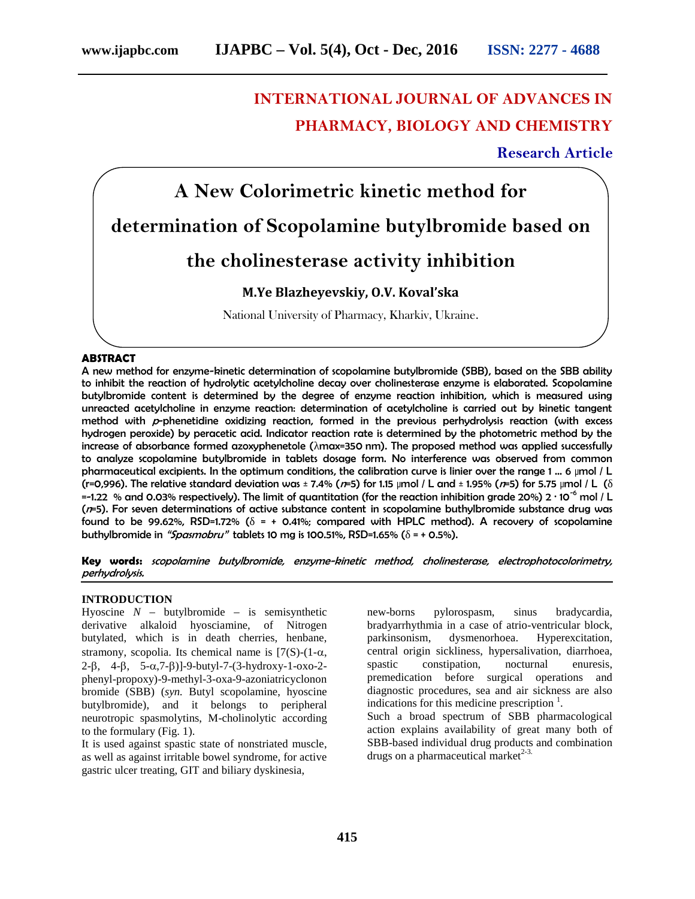# **INTERNATIONAL JOURNAL OF ADVANCES IN PHARMACY, BIOLOGY AND CHEMISTRY**

# **Research Article**



#### **ABSTRACT**

A new method for enzyme-kinetic determination of scopolamine butylbromide (SBB), based on the SBB ability to inhibit the reaction of hydrolytic acetylcholine decay over cholinesterase enzyme is elaborated. Scopolamine butylbromide content is determined by the degree of enzyme reaction inhibition, which is measured using unreacted acetylcholine in enzyme reaction: determination of acetylcholine is carried out by kinetic tangent method with *<sup>p</sup>*-phenetidine oxidizing reaction, formed in the previous perhydrolysis reaction (with excess hydrogen peroxide) by peracetic acid. Indicator reaction rate is determined by the photometric method by the increase of absorbance formed azoxyphenetole ( max=350 nm). The proposed method was applied successfully to analyze scopolamine butylbromide in tablets dosage form. No interference was observed from common pharmaceutical excipients. In the optimum conditions, the calibration curve is linier over the range 1 ... 6 µmol / L (r=0,996). The relative standard deviation was ± 7.4% (*n*=5) for 1.15 µmol / L and ± 1.95% (*n*=5) for 5.75 µmol / L ( =-1.22 % and 0.03% respectively). The limit of quantitation (for the reaction inhibition grade 20%) 2 ∙ 10-6 mol / L (*n*=5). For seven determinations of active substance content in scopolamine buthylbromide substance drug was found to be 99.62%, RSD=1.72% ( = + 0.41%; compared with HPLC method). A recovery of scopolamine buthylbromide in *"Spasmobru"* tablets 10 mg is 100.51%, RSD=1.65% ( = + 0.5%).

**Key words:** *scopolamine butylbromide, enzyme-kinetic method, cholinesterase, electrophotocolorimetry, perhydrolysis.*

#### **INTRODUCTION**

Hyoscine  $N$  – butylbromide – is semisynthetic derivative alkaloid hyosciamine, of Nitrogen butylated, which is in death cherries, henbane, stramony, scopolia. Its chemical name is  $[7(S)-(1-\alpha,$  $2-\beta$ ,  $4-\beta$ ,  $5-\alpha$ ,  $7-\beta$ )]-9-butyl-7-(3-hydroxy-1-oxo-2phenyl-propoxy)-9-methyl-3-oxa-9-azoniatricyclonon bromide (SBB) (*syn.* Butyl scopolamine, hyoscine butylbromide), and it belongs to peripheral neurotropic spasmolytins, M-cholinolytic according to the formulary (Fig. 1).

It is used against spastic state of nonstriated muscle, as well as against irritable bowel syndrome, for active gastric ulcer treating, GIT and biliary dyskinesia,

new-borns pylorospasm, sinus bradycardia, bradyarrhythmia in a case of atrio-ventricular block, parkinsonism, dysmenorhoea. Hyperexcitation, central origin sickliness, hypersalivation, diarrhoea, spastic constipation, nocturnal enuresis, premedication before surgical operations and diagnostic procedures, sea and air sickness are also indications for this medicine prescription  $\frac{1}{1}$ . Such a broad spectrum of SBB pharmacological action explains availability of great many both of SBB-based individual drug products and combination drugs on a pharmaceutical market $2-3$ .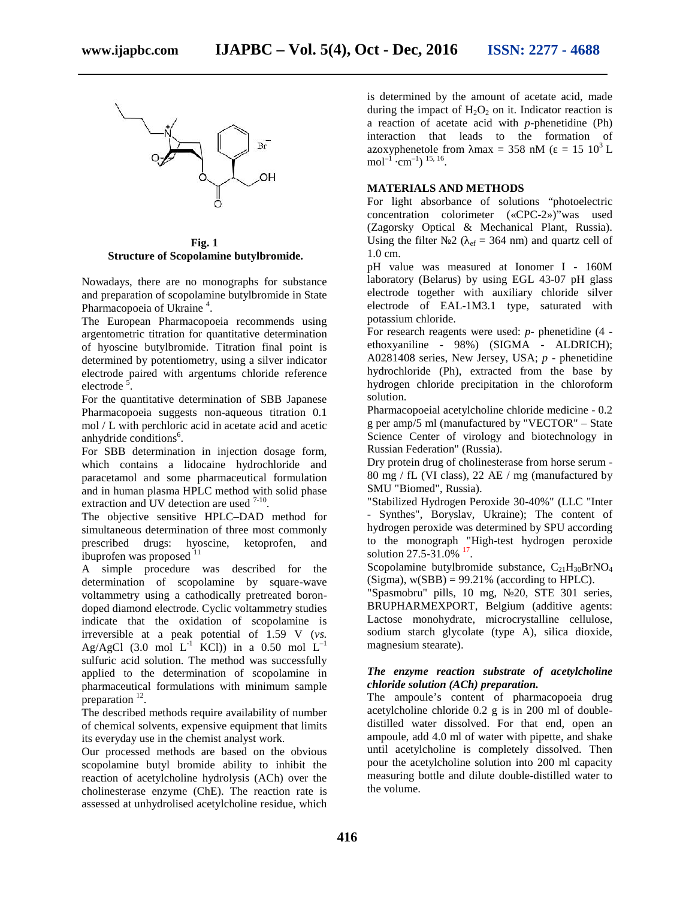

**Fig. 1 Structure of Scopolamine butylbromide.**

Nowadays, there are no monographs for substance and preparation of scopolamine butylbromide in State Pharmacopoeia of Ukraine<sup>4</sup>.

The European Pharmacopoeia recommends using argentometric titration for quantitative determination of hyoscine butylbromide. Titration final point is determined by potentiometry, using a silver indicator electrode paired with argentums chloride reference electrode<sup>5</sup>.

For the quantitative determination of SBB Japanese Pharmacopoeia suggests non-aqueous titration 0.1 mol / L with perchloric acid in acetate acid and acetic anhydride conditions<sup>6</sup>. .

For SBB determination in injection dosage form, which contains a lidocaine hydrochloride and paracetamol and some pharmaceutical formulation and in human plasma HPLC method with solid phase extraction and UV detection are used  $7-10$ .

The objective sensitive HPLC–DAD method for simultaneous determination of three most commonly prescribed drugs: hyoscine, ketoprofen, and ibuprofen was proposed  $11$ 

A simple procedure was described for the determination of scopolamine by square-wave voltammetry using a cathodically pretreated boron doped diamond electrode. Cyclic voltammetry studies indicate that the oxidation of scopolamine is irreversible at a peak potential of 1.59 V (*vs.* Ag/AgCl  $(3.0 \text{ mol L}^{-1} \text{ KCl})$  in a 0.50 mol L<sup>–1</sup> sulfuric acid solution. The method was successfully applied to the determination of scopolamine in pharmaceutical formulations with minimum sample preparation  $12$ .

The described methods require availability of number of chemical solvents, expensive equipment that limits its everyday use in the chemist analyst work.

Our processed methods are based on the obvious scopolamine butyl bromide ability to inhibit the reaction of acetylcholine hydrolysis (ACh) over the cholinesterase enzyme (ChE). The reaction rate is assessed at unhydrolised acetylcholine residue, which

is determined by the amount of acetate acid, made during the impact of  $H_2O_2$  on it. Indicator reaction is a reaction of acetate acid with *p*-phenetidine (Ph) interaction that leads to the formation of azoxyphenetole from max = 358 nM ( $= 15 \times 10^3$  L  $mol^{-1}$  ·cm<sup>-1</sup>) <sup>15, 16</sup>.

### **MATERIALS AND METHODS**

For light absorbance of solutions "photoelectric concentration colorimeter («CP -2»)"was used (Zagorsky Optical & Mechanical Plant, Russia). Using the filter  $2 \left( \right)$  ef = 364 nm) and quartz cell of 1.0 cm.

pH value was measured at Ionomer I - 160M laboratory (Belarus) by using EGL 43-07 pH glass electrode together with auxiliary chloride silver electrode of EAL-1 3.1 type, saturated with potassium chloride.

For research reagents were used: *p*- phenetidine (4 ethoxyaniline - 98%) (SIGMA - ALDRICH); A0281408 series, New Jersey, USA; *p* - phenetidine hydrochloride (Ph), extracted from the base by hydrogen chloride precipitation in the chloroform solution.

Pharmacopoeial acetylcholine chloride medicine - 0.2 g per amp/5 ml (manufactured by "VECTOR" – State Science Center of virology and biotechnology in Russian Federation" (Russia).

Dry protein drug of cholinesterase from horse serum - 80 mg / fL (VI class), 22 A / mg (manufactured by SMU "Biomed", Russia).

"Stabilized Hydrogen Peroxide 30-40%" (LLC "Inter - Synthes", Boryslav, Ukraine); The content of hydrogen peroxide was determined by SPU according to the monograph "High-test hydrogen peroxide solution 27.5-31.0% <sup>17</sup>.

Scopolamine butylbromide substance,  $C_{21}H_{30}BrNO<sub>4</sub>$ (Sigma),  $w(SBB) = 99.21\%$  (according to HPLC).<br>"Spasmobru" pills, 10 mg, 20, STE 301 series,

"Spasmobru" pills, 10 mg, BRUPHARMEXPORT, Belgium (additive agents: Lactose monohydrate, microcrystalline cellulose, sodium starch glycolate (type A), silica dioxide, magnesium stearate).

## *The enzyme reaction substrate of acetylcholine chloride solution (ACh) preparation.*

The ampoule's content of pharmacopoeia drug acetylcholine chloride 0.2 g is in 200 ml of double distilled water dissolved. For that end, open an ampoule, add 4.0 ml of water with pipette, and shake until acetylcholine is completely dissolved. Then pour the acetylcholine solution into 200 ml capacity measuring bottle and dilute double-distilled water to the volume.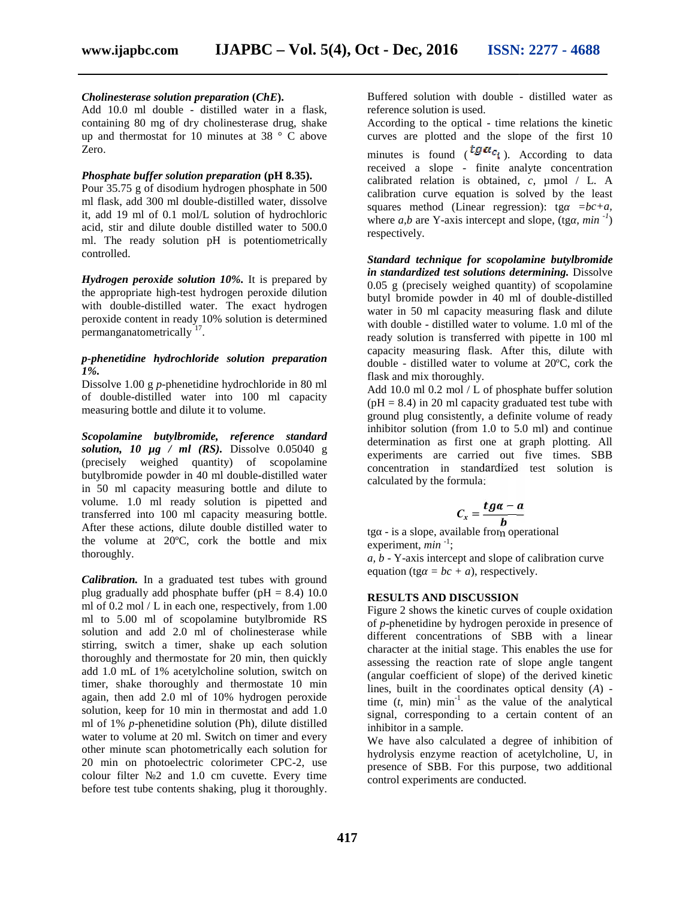#### *Cholinesterase solution preparation (ChE).*

Add 10.0 ml double - distilled water in a flask, containing 80 mg of dry cholinesterase drug, shake containing 80 mg of dry cholinesterase drug, shake up and thermostat for 10 minutes at 38  $\degree$  C above Zero.

#### *Phosphate buffer solution preparation* **(pH 8.35).**

Pour 35.75 g of disodium hydrogen phosphate in 500 ml flask, add 300 ml double-distilled water, dissolve it, add 19 ml of 0.1 mol/L solution of hydrochloric acid, stir and dilute double distilled water to 500.0 ml. The ready solution pH is potentiometrically controlled. Pour 35.75 g of disodium hydrogen phosphate in 500<br>ml flask, add 300 ml double-distilled water, dissolve<br>it, add 19 ml of 0.1 mol/L solution of hydrochloric<br>acid, stir and dilute double distilled water to 500.0<br>ml. The re

*Hydrogen peroxide solution 10%.* It is prepared by the appropriate high-test hydrogen peroxide dilution with double-distilled water. The exact hydrogen peroxide content in ready 10% solution is determined permanganatometrically<sup>'17</sup>.

#### *p-phenetidine hydrochloride solution preparation 1%.*

Dissolve 1.00 g *p*-phenetidine hydrochloride in 80 ml of double-distilled water into 100 ml capacity<br>measuring bottle and dilute it to volume. measuring bottle and dilute it to volume.

*Scopolamine butylbromide, reference standard solution, 10 µg / ml (RS).* Dissolve 0.05040 g */*  (precisely weighed quantity) of scopolamine butylbromide powder in 40 ml double-distilled water in 50 ml capacity measuring bottle and dilute to volume. 1.0 ml ready solution is pipetted and transferred into 100 ml capacity measuring bottle. After these actions, dilute double distilled water to the volume at 20ºC, cork the bottle and mix thoroughly. weighed quantity) of scopolamine<br>
e powder in 40 ml double-distilled water<br>
apacity measuring bottle and dilute to<br>
o ml ready solution is pipetted and<br>
nto 100 ml capacity measuring bottle.

*Calibration.* In a graduated test tubes with ground plug gradually add phosphate buffer ( $pH = 8.4$ ) 10.0 ml of 0.2 mol / L in each one, respectively, from 1.00 ml to 5.00 ml of scopolamine butylbromide RS solution and add 2.0 ml of cholinesterase while stirring, switch a timer, shake up each solution thoroughly and thermostate for 20 min, then quickly add 1.0 mL of 1% acetylcholine solution, switch on timer, shake thoroughly and thermostate 10 min again, then add 2.0 ml of 10% hydrogen peroxide solution, keep for 10 min in thermostat and add 1.0 ml of 1% *p*-phenetidine solution (Ph), dilute distilled water to volume at 20 ml. Switch on timer and every other minute scan photometrically each solution for 20 min on photoelectric colorimeter CPC-2, use colour filter №2 and 1.0 cm cuvette. Every time 20 min on photoelectric colorimeter CPC-2, use<br>colour filter 2 and 1.0 cm cuvette. Every time<br>before test tube contents shaking, plug it thoroughly. After these actions, dilute double distilled water to<br>the volume at 20°C, cork the bottle and mix<br>thoroughly.<br>**Calibration.** In a graduated test tubes with ground<br>plug gradually add phosphate buffer ( $pH = 8.4$ ) 10.0<br>ml of ation, keep for 10 min in thermostat and add 1.0<br>of 1% *p*-phenetidine solution (Ph), dilute distilled<br>er to volume at 20 ml. Switch on timer and every<br>er minute scan photometrically each solution for

Buffered solution with double - distilled water as reference solution is used.

According to the optical - time relations the kinetic curves are plotted and the slope of the first 10 minutes is found  $({^*}^{\mathcal{U}*}_{\mathcal{U}})^{\mathcal{U}}$ . According to data received a slope - finite analyte concentration calibrated relation is obtained, *c,* µmol / L. A calibration curve equation is solved by the least squares method (Linear regression): tg = b + a, where  $a, b$  are Y-axis intercept and slope, (tg,  $min^{-1}$ ) respectively. The distribution is used.<br>
the optical - time relations the k<br>
blotted and the slope of the firm<br>
found  $(\iota^{t}g\alpha c_i)$ . According to<br>
slope - finite analyte concentiation is obtained, c,  $\mu$ mol / is solved b<br>regression): t<br>ept and slope,

*Standard technique for scopolamine butylbromide Standard technique for scopolamine butylbromide<br>in standardized test solutions determining. Dissolve* 0.05 g (precisely weighed quantity) of scopolamine butyl bromide powder in 40 ml of double-distilled water in 50 ml capacity measuring flask and dilute with double - distilled water to volume. 1.0 ml of the ready solution is transferred with pipette in 100 ml capacity measuring flask. After this, dilute with double - distilled water to volume at 20ºC, cork the flask and mix thoroughly. 0.05 g (precisely weighed quantity) of scopolamine<br>butyl bromide powder in 40 ml of double-distilled<br>water in 50 ml capacity measuring flask and dilute<br>with double - distilled water to volume. 1.0 ml of the<br>ready solution

Add 10.0 ml 0.2 mol / L of phosphate buffer solution  $(pH = 8.4)$  in 20 ml capacity graduated test tube with ground plug consistently, a definite volume of ready inhibitor solution (from 1.0 to 5.0 ml) and continue determination as first one at graph plotting. All experiments are carried out five times. SBB concentration in standardized test solution is concentration calculated by the formula: to 5.0 ml) and continue<br>at graph plotting. All<br>out five times. SBB

$$
C_x = \frac{tg\alpha - a}{b}
$$

tg - is a slope, available from operational experiment, *min*<sup>-1</sup>;

*a, b* - Y-axis intercept and slope of calibration curve equation (tg =  $bc + a$ ), respectively. experiment,  $min^{-1}$ ;<br>a, b - Y-axis intercept and slope<br>equation (tg = bc + a), respecti

#### **RESULTS AND DISCUSSION**

Figure 2 shows the kinetic curves of couple oxidation 2 of *p*-phenetidine by hydrogen peroxide in presence of different concentrations of SBB with a linear character at the initial stage. This enables the use for assessing the reaction rate of slope angle tangent (angular coefficient of slope) of the derived kinetic lines, built in the coordinates optical density (*A*) time  $(t, \text{min})$  min<sup>-1</sup> as the value of the analytical signal, corresponding to a certain content of an inhibitor in a sample. of *p*-phenetidine by hydrogen peroxide in presence of different concentrations of SBB with a linear character at the initial stage. This enables the use for assessing the reaction rate of slope angle tangent (angular coef flask and mix thoroughly.<br>
Add 10.0 ml 0.2 mol / L of phosphate buffer solution<br>
(pH = 8.4) in 20 ml capacity graduated test tube w<br>
ground plug consistently, a definite volume of rea<br>
inhibitor solution (from 1.0 to 5.0

We have also calculated a degree of inhibition of hydrolysis enzyme reaction of acetylcholine, U, in presence of SBB. For this purpose, two additional control experiments are conducted.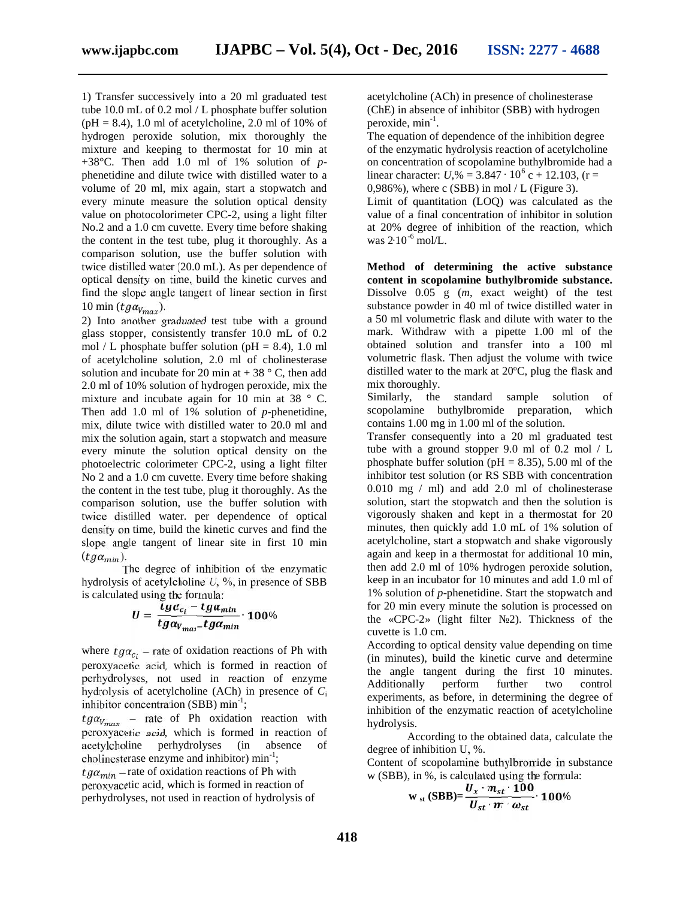1) Transfer successively into a 20 ml graduated test tube 10.0 mL of 0.2 mol / L phosphate buffer solution  $(pH = 8.4)$ , 1.0 ml of acetylcholine, 2.0 ml of 10% of hydrogen peroxide solution, mix thoroughly the mixture and keeping to thermostat for 10 min at +38°C. Then add 1.0 ml of 1% solution of *p* phenetidine and dilute twice with distilled water to a volume of 20 ml, mix again, start a stopwatch and every minute measure the solution optical density value on photocolorimeter CPC-2, using a light filter No.2 and a 1.0 cm cuvette. Every time before shaking the content in the test tube, plug it thoroughly. As a comparison solution, use the buffer solution with twice distilled water (20.0 mL). As per dependence of optical density on time, build the kinetic curves and find the slope angle tangent of linear section in first 10 min ( $t g \alpha_{V_{max}}$ ).

2) Into another graduated test tube with a ground glass stopper, consistently transfer 10.0 mL of 0.2 mol / L phosphate buffer solution ( $pH = 8.4$ ), 1.0 ml of acetylcholine solution, 2.0 ml of cholinesterase solution and incubate for 20 min at  $+38$  ° C, then add 2.0 ml of 10% solution of hydrogen peroxide, mix the mixture and incubate again for 10 min at 38 ° C. Then add 1.0 ml of 1% solution of *p*-phenetidine, mix, dilute twice with distilled water to 20.0 ml and mix the solution again, start a stopwatch and measure every minute the solution optical density on the photoelectric colorimeter CPC-2, using a light filter No 2 and a 1.0 cm cuvette. Every time before shaking the content in the test tube, plug it thoroughly. As the comparison solution, use the buffer solution with twice distilled water. per dependence of optical density on time, build the kinetic curves and find the slope angle tangent of linear site in first 10 min  $(tg\alpha_{min})$ .<br>The degree of inhibition of the enzymatic

hydrolysis of acetylcholine *U*, %, in presence of SBB is calculated using the formula:

$$
U=\frac{t g \alpha_{c_l}-t g \alpha_{min}}{t g \alpha_{V_{max}}-t g \alpha_{min}} \cdot 100\%
$$

where  $t g a_{c_i}$  – rate of oxidation reactions of Ph with peroxyacetic acid, which is formed in reaction of perhydrolyses, not used in reaction of enzyme hydrolysis of acetylcholine (ACh) in presence of inhibitor concentration  $(SBB)$  min<sup>-1</sup>;

 $t g a_{V_{max}}$  – rate of Ph oxidation reaction with peroxyacetic acid, which is formed in reaction of acetylcholine perhydrolyses (in absence of cholinesterase enzyme and inhibitor) min<sup>-1</sup>;

 $tg\alpha_{min}$  – rate of oxidation reactions of Ph with peroxyacetic acid, which is formed in reaction of perhydrolyses, not used in reaction of hydrolysis of

acetylcholine (ACh) in presence of cholinesterase (ChE) in absence of inhibitor (SBB) with hydrogen peroxide, min<sup>-1</sup>.

The equation of dependence of the inhibition degree of the enzymatic hydrolysis reaction of acetylcholine on concentration of scopolamine buthylbromide had a linear character: *U*,% = 3.847 ⋅ 10<sup>6</sup> c + 12.103, (r = 0,986%), where c (SBB) in mol  $/L$  (Figure 3). Limit of quantitation (LOQ) was calculated as the value of a final concentration of inhibitor in solution at 20% degree of inhibition of the reaction, which was 2∙10-6 mol/L.

**Method of determining the active substance content in scopolamine buthylbromide substance.** Dissolve 0.05 g (*m*, exact weight) of the test substance powder in 40 ml of twice distilled water in a 50 ml volumetric flask and dilute with water to the mark. Withdraw with a pipette 1.00 ml of the obtained solution and transfer into a 100 ml volumetric flask. Then adjust the volume with twice distilled water to the mark at 20ºC, plug the flask and mix thoroughly.

Similarly, the standard sample solution of scopolamine buthylbromide preparation, which contains 1.00 mg in 1.00 ml of the solution.

Transfer consequently into a 20 ml graduated test tube with a ground stopper 9.0 ml of 0.2 mol / L phosphate buffer solution ( $pH = 8.35$ ), 5.00 ml of the inhibitor test solution (or RS SBB with concentration 0.010 mg / ml) and add 2.0 ml of cholinesterase solution, start the stopwatch and then the solution is vigorously shaken and kept in a thermostat for 20 minutes, then quickly add 1.0 mL of 1% solution of acetylcholine, start a stopwatch and shake vigorously again and keep in a thermostat for additional 10 min, then add 2.0 ml of 10% hydrogen peroxide solution, keep in an incubator for 10 minutes and add 1.0 ml of 1% solution of *p*-phenetidine. Start the stopwatch and for 20 min every minute the solution is processed on the «CPC-2» (light filter  $\quad$  2). Thickness of the cuvette is 1.0 cm.

According to optical density value depending on time (in minutes), build the kinetic curve and determine the angle tangent during the first 10 minutes. Additionally perform further two control experiments, as before, in determining the degree of inhibition of the enzymatic reaction of acetylcholine hydrolysis.

According to the obtained data, calculate the degree of inhibition U, %.

Content of scopolamine buthylbromide in substance w (SBB), in %, is calculated using the formula:

$$
W_{st} (SBB) = \frac{U_x \cdot m_{st} \cdot 100}{U_{st} \cdot m \omega_{st}} \cdot 100\%
$$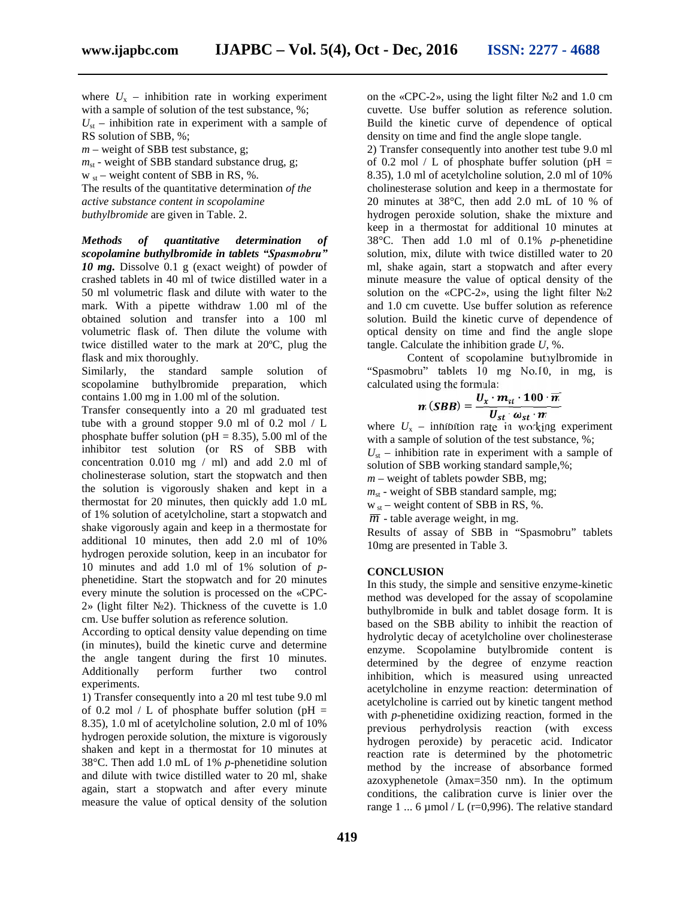where  $U$  – inhibition rate in working experiment with a sample of solution of the test substance, %;  $U_{st}$  – inhibition rate in experiment with a sample of RS solution of SBB, %;

*m* – weight of SBB test substance, g;

 $m_{st}$  - weight of SBB standard substance drug, g;

 $w_{st}$  – weight content of SBB in RS, %.

The results of the quantitative determination *of the active substance content in scopolamine buthylbromide* are given in Table. 2.

*Methods of quantitative determination of scopolamine buthylbromide in tablets "Spasmobru" 10 mg.* Dissolve 0.1 g (exact weight) of powder of crashed tablets in 40 ml of twice distilled water in a 50 ml volumetric flask and dilute with water to the mark. With a pipette withdraw 1.00 ml of the obtained solution and transfer into a 100 ml volumetric flask of. Then dilute the volume with twice distilled water to the mark at 20ºC, plug the flask and mix thoroughly.

Similarly, the standard sample solution of scopolamine buthylbromide preparation, which contains 1.00 mg in 1.00 ml of the solution.

Transfer consequently into a 20 ml graduated test tube with a ground stopper 9.0 ml of 0.2 mol / L phosphate buffer solution ( $pH = 8.35$ ), 5.00 ml of the inhibitor test solution (or RS of SBB with concentration 0.010 mg / ml) and add 2.0 ml of cholinesterase solution, start the stopwatch and then the solution is vigorously shaken and kept in a thermostat for 20 minutes, then quickly add 1.0 mL of 1% solution of acetylcholine, start a stopwatch and shake vigorously again and keep in a thermostate for additional 10 minutes, then add 2.0 ml of 10% hydrogen peroxide solution, keep in an incubator for 10 minutes and add 1.0 ml of 1% solution of *p* phenetidine. Start the stopwatch and for 20 minutes every minute the solution is processed on the «CPC-  $2\%$  (light filter 2). Thickness of the cuvette is 1.0 cm. Use buffer solution as reference solution.

According to optical density value depending on time (in minutes), build the kinetic curve and determine the angle tangent during the first 10 minutes. Additionally perform further two control experiments.

1) Transfer consequently into a 20 ml test tube 9.0 ml of 0.2 mol / L of phosphate buffer solution (pH  $=$ 8.35), 1.0 ml of acetylcholine solution, 2.0 ml of 10% hydrogen peroxide solution, the mixture is vigorously shaken and kept in a thermostat for 10 minutes at  $38^\circ$  . Then add 1.0 mL of 1% *p*-phenetidine solution and dilute with twice distilled water to 20 ml, shake again, start a stopwatch and after every minute measure the value of optical density of the solution

on the «CPC-2», using the light filter  $\,$  2 and 1.0 cm cuvette. Use buffer solution as reference solution. Build the kinetic curve of dependence of optical density on time and find the angle slope tangle.

2) Transfer consequently into another test tube 9.0 ml of 0.2 mol / L of phosphate buffer solution (pH  $=$ 8.35), 1.0 ml of acetylcholine solution, 2.0 ml of 10% cholinesterase solution and keep in a thermostate for 20 minutes at  $38^\circ$  , then add 2.0 mL of 10 % of hydrogen peroxide solution, shake the mixture and keep in a thermostat for additional 10 minutes at  $38^\circ$ . Then add 1.0 ml of 0.1% *p*-phenetidine solution, mix, dilute with twice distilled water to 20 ml, shake again, start a stopwatch and after every minute measure the value of optical density of the solution on the «CPC-2», using the light filter  $2$ and 1.0 cm cuvette. Use buffer solution as reference solution. Build the kinetic curve of dependence of optical density on time and find the angle slope tangle. Calculate the inhibition grade *U*, %.

Content of scopolamine buthylbromide in "Spasmobru" tablets 10 mg No.10, in mg, is calculated using the formula:

$$
m(SBB) = \frac{U_x \cdot m_{st} \cdot 100 \cdot \overline{m}}{U_{st} \cdot \omega_{st} \cdot m}
$$

where  $U$  – inhibition rate in working experiment with a sample of solution of the test substance, %;  $U_{st}$  – inhibition rate in experiment with a sample of solution of SBB working standard sample,%;

*m* – weight of tablets powder SBB, mg;

 $m<sub>st</sub>$  - weight of SBB standard sample, mg;

 $w_{st}$  – weight content of SBB in RS, %.

 $\overline{m}$  - table average weight, in mg.

Results of assay of SBB in "Spasmobru" tablets 10mg are presented in Table 3.

#### **CONCLUSION**

In this study, the simple and sensitive enzyme-kinetic method was developed for the assay of scopolamine buthylbromide in bulk and tablet dosage form. It is based on the SBB ability to inhibit the reaction of hydrolytic decay of acetylcholine over cholinesterase enzyme. Scopolamine butylbromide content is determined by the degree of enzyme reaction inhibition, which is measured using unreacted acetylcholine in enzyme reaction: determination of acetylcholine is carried out by kinetic tangent method with *p*-phenetidine oxidizing reaction, formed in the previous perhydrolysis reaction (with excess hydrogen peroxide) by peracetic acid. Indicator reaction rate is determined by the photometric method by the increase of absorbance formed azoxyphenetole (max=350 nm). In the optimum conditions, the calibration curve is linier over the range 1 ... 6  $\mu$ mol / L (r=0,996). The relative standard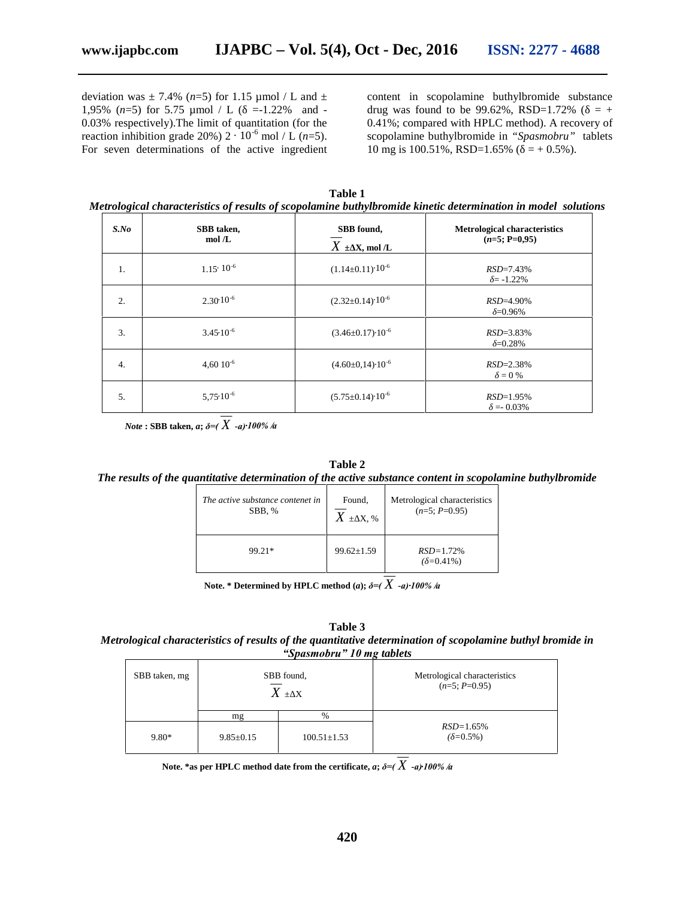deviation was  $\pm$  7.4% (*n*=5) for 1.15 µmol / L and  $\pm$ 1,95%  $(n=5)$  for 5.75  $\mu$ mol / L ( $=$ -1.22% and -0.03% respectively).The limit of quantitation (for the reaction inhibition grade 20%)  $2 \cdot 10^{-6}$  mol / L (*n*=5). For seven determinations of the active ingredient content in scopolamine buthylbromide substance drug was found to be 99.62%, RSD=1.72% ( $= +$ 0.41%; compared with HPLC method). A recovery of scopolamine buthylbromide in *"Spasmobru"* tablets 10 mg is 100.51%, RSD=1.65% ( $= +0.5$ %).

| Table 1                                                                                                       |  |  |  |  |  |
|---------------------------------------------------------------------------------------------------------------|--|--|--|--|--|
| Metrological characteristics of results of scopolamine buthylbromide kinetic determination in model solutions |  |  |  |  |  |

| $S$ .No          | SBB taken,<br>mol/L  | SBB found,<br>$X \pm X$ , mol /L | <b>Metrological characteristics</b><br>$(n=5; =0.95)$ |
|------------------|----------------------|----------------------------------|-------------------------------------------------------|
| 1.               | $1.15 \cdot 10^{-6}$ | $(1.14\pm0.11)\cdot10^{-6}$      | $RSD=7.43%$<br>$=-1.22\%$                             |
| 2.               | $2.30 \cdot 10^{-6}$ | $(2.32 \pm 0.14) \cdot 10^{-6}$  | $RSD = 4.90\%$<br>$=0.96%$                            |
| 3.               | $3.45 \cdot 10^{-6}$ | $(3.46 \pm 0.17) \cdot 10^{-6}$  | $RSD = 3.83\%$<br>$=0.28%$                            |
| $\overline{4}$ . | $4.6010^{-6}$        | $(4.60\pm0.14)\cdot10^{-6}$      | $RSD = 2.38\%$<br>$= 0 \%$                            |
| 5.               | $5.75 \cdot 10^{-6}$ | $(5.75 \pm 0.14) \cdot 10^{-6}$  | $RSD=1.95%$<br>$= 0.03\%$                             |

*Note* **: SBB taken,** *<sup>a</sup>***;** *δ=( X -а)∙100% /а*

#### **Table 2**

# *The results of the quantitative determination of the active substance content in scopolamine buthylbromide*

| The active substance conten t in | Found,           | Metrological characteristics |  |
|----------------------------------|------------------|------------------------------|--|
| SBB, %                           | $X \pm X$ , %    | $(n=5; P=0.95)$              |  |
| 99.21*                           | $99.62 \pm 1.59$ | $RSD = 1.72%$<br>$=0.41\%$   |  |

**Note. \* Determined by HPLC method (***a***);** *δ=( X -а)∙100% /а*

**Table 3**

*Metrological characteristics of results of the quantitative determination of scopolamine buthyl bromide in "Spasmobru" 10 mg tablets*

| SBB taken, mg |                 | SBB found,<br>$X \pm X$ | Metrological characteristics<br>$(n=5; P=0.95)$ |
|---------------|-----------------|-------------------------|-------------------------------------------------|
|               | mg              | $\%$                    |                                                 |
| $9.80*$       | $9.85 \pm 0.15$ | $100.51 \pm 1.53$       | $RSD = 1.65%$<br>$=0.5\%$ )                     |

**Note. \*as per HPLC method date from the certificate,** *<sup>a</sup>***;** *δ=( X -а)∙100% /а*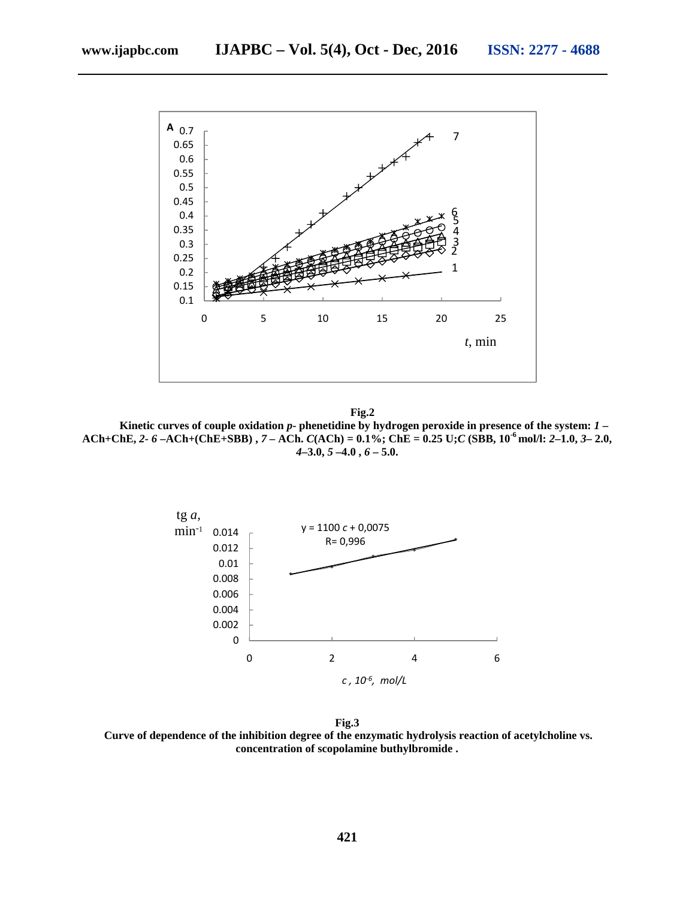

**Fig.2 Kinetic curves of couple oxidation** *p***- phenetidine by hydrogen peroxide in presence of the system:** *1* **–** ACh+ChE, 2- 6 -ACh+(ChE+SBB), 7 - A h.  $C(ACh) = 0.1\%$ ; ChE = 0.25 U; C (SBB, 10<sup>-6</sup> mol/l: 2-1.0, 3-2.0, *4***–3.0,** *5* **–4.0 ,** *6* **– 5.0.**



**Fig.3 Curve of dependence of the inhibition degree of the enzymatic hydrolysis reaction of acetylcholine vs. concentration of scopolamine buthylbromide .**